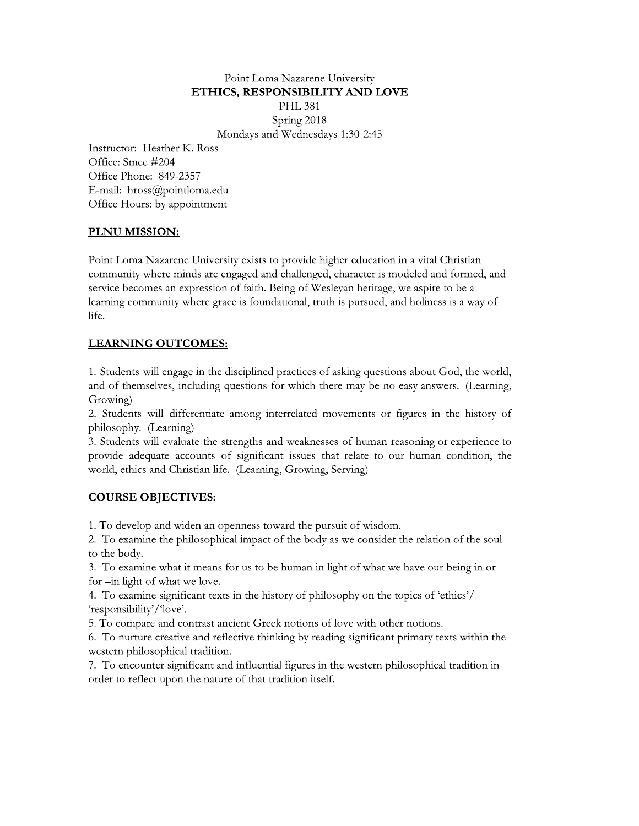#### Point Loma Nazarene University ETHICS, RESPONSIBILITY AND LOVE

PHL 381<br>Spring 2018

Mondays and Wednesdays 1:30-2:45

Point Loma Nazarene University<br> **ETHICS, RESPONSIBILITY AND LC**<br>
PHL 381<br>
Spring 2018<br>
Mondays and Wednesdays 1:30-2:45<br>
eather K. Ross<br>
#204<br>
849-2357<br>
@pointloma.edu<br>
by appointment<br> **ION:** Instructor: Heather K. Ross Poi<br> **ETHICS,**<br>
Mone<br>
Instructor: Heather K. Ross<br>
Office: Smee #204<br>
Office Phone: 849-2357<br>
E-mail: hross@pointloma.edu<br>
Office Hours: by appointment<br> **PLNU MISSION:**<br>
Point Loma Nazarene University<br>
community where mind Office Phone:  $849-235$ E-mail: hross@pointloma.edu Office Hours: by appointment

## PLNU MISSION:

Point Loma Nazarene University exists to provide higher education in a vital Christian community where minds are engaged and challenged, character is modeled and formed, and service becomes an expression of faith. Being of Wesleyan heritage, we aspire to be a learning community where grace is foundational, truth is pursued, and holiness is a way of life. Font Loma Nazarene University exists to provide higher education in a vital Christian<br>
community where minds are engaged and challenged, character is modeled and formed, and<br>
service becomes an expression of faith. Being o

## LEARNING OUTCOMES:

t asking questions about God, the world, and of themselves, including questions for which there may be no easy answers. (Learning, Growing)

ng interrelated movements or figures in the history of philosophy. (Learning)

learning community where grace is foundational, truth is pursued, and holiness is a way of<br>
life.<br> **LEARNING OUTCOMES:**<br>
1. Students will engage in the disciplined practices of asking questions about God, the world,<br>
and o **LEARNING OUTCOMES:**<br>
1. Students will engage in the disciplined practices of asking questions about God, the world,<br>
and of themselves, including questions for which there may be no easy answers. (Learning,<br>
Growing)<br>
Cro f human reasoning or experience to provide adequate accounts of significant issues that relate to our human condition, the world, ethics and Christian life. (Learning, Grow ne disciplined practices of asking questions about Gong questions for which there may be no easy answers at among interrelated movements or figures in the strengths and weaknesses of human reasoning or of significant issue

# <u>COURSE OBJECTIVES:</u>

1. To develop and widen an openness toward the pursuit of wisdom.

2. To examine the philosophical impact of the body as we consider the relation of the soul to the body.

3. To examine what it means for us to be human in light of what we have our being in or for –in light of what we love.

4. To examine significant texts in the history of philosophy on the topics of 'ethics'/ `responsibility'/`love'.

5. To compare and contrast ancient Greek notions of love with other notions.

6. To nurture creative and reflective thinking by reading significant primary texts within the western philosophical tradition.

 $\%$  . To encounter significant and influential figures in the western philosophical tradition in order to reflect upon the nature of that tradition itself.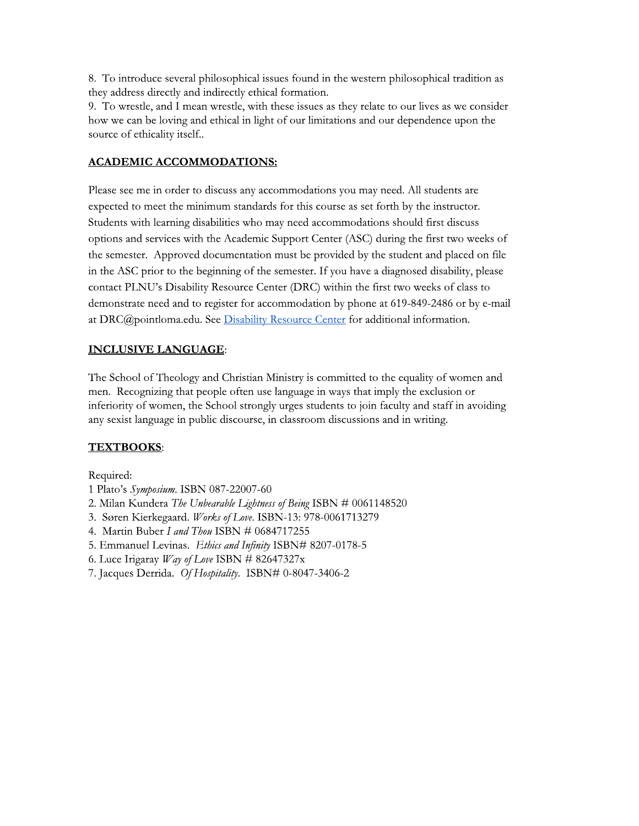8. To introduce several philosophical issues found in the western philosophical tradition as they address directly and indirectly ethical formation.

9. To wrestle, and I mean wrestle, with these issues as they relate to our lives as we consider how we can be loving and ethical in light of our limitations and our dependence upon the source of ethicality itself..

## **ACADEMIC ACCOMMODATIONS:**

Please see me in order to discuss any accommodations you may need. All students are expected to meet the minimum standards for this course as set forth by the instructor. Students with learning disabilities who may need accommodations should first discuss options and services with the Academic Support Center (ASC) during the first two weeks of the semester. Approved documentation must be provided by the student and placed on file in the ASC prior to the beginning of the semester. If you have a diagnosed disability, please contact PLNU's Disability Resource Center (DRC) within the first two weeks of class to demonstrate need and to register for accommodation by phone at 619-849-2486 or by e-mail at DRC@pointloma.edu. See Disability Resource Center for additional information.

# **INCLUSIVE LANGUAGE:**

The School of Theology and Christian Ministry is committed to the equality of women and men. Recognizing that people often use language in ways that imply the exclusion or inferiority of women, the School strongly urges students to join faculty and staff in avoiding any sexist language in public discourse, in classroom discussions and in writing.

# **TEXTBOOKS:**

Required:

- 1 Plato's Symposium. ISBN 087-22007-60
- 2. Milan Kundera The Unbearable Lightness of Being ISBN # 0061148520
- 3. Søren Kierkegaard. Works of Love. ISBN-13: 978-0061713279
- 4. Martin Buber I and Thou ISBN # 0684717255
- 5. Emmanuel Levinas. Ethics and Infinity ISBN# 8207-0178-5
- 6. Luce Irigaray *Way of Love ISBN* # 82647327x
- 7. Jacques Derrida. Of Hospitality. ISBN# 0-8047-3406-2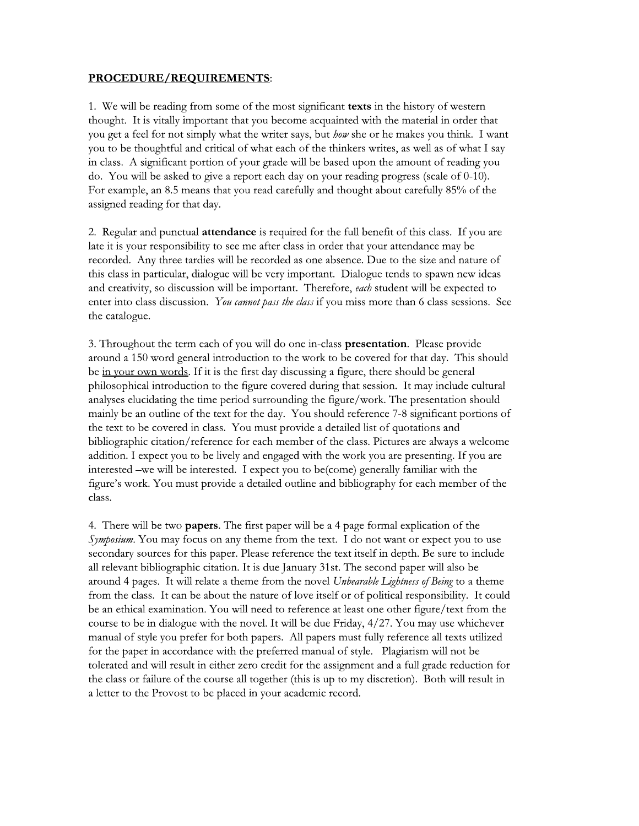#### PROCEDURE/REQUIREMENTS:

1. We will be reading from some of the most significant texts in the history of western thought. It is vitally important that you become acquainted with the material in order that you get a feel for not simply what the writer says, but *how* she or he makes you think. I want you to be thoughtful and critical of what each of the thinkers writes, as well as of what I say in class. A significant portion of your grade will be based upon the amount of reading you do. You will be asked to give a report each day on your reading progress (scale of 0-10). For example, an 8.5 means that you read carefully and thought about carefully 85% of the assigned reading for that day.

2. Regular and punctual attendance is required for the full benefit of this class. If you are late it is your responsibility to see me after class in order that your attendance may be recorded. Any three tardies will be recorded as one absence. Due to the size and nature of this class in particular, dialogue will be very important. Dialogue tends to spawn new ideas and creativity, so discussion will be important. Therefore, each student will be expected to enter into class discussion. You cannot pass the class if you miss more than 6 class sessions. See the catalogue.

3. Throughout the term each of you will do one in-class presentation. Please provide around a 150 word general introduction to the work to be covered for that day. This should be in your own words. If it is the first day discussing a figure, there should be general philosophical introduction to the figure covered during that session. It may include cultural analyses elucidating the time period surrounding the figure/work. The presentation should mainly be an outline of the text for the day. You should reference 7-8 significant portions of the text to be covered in class. You must provide a detailed list of quotations and bibliographic citation/reference for each member of the class. Pictures are always a welcome addition. I expect you to be lively and engaged with the work you are presenting. If you are interested -we will be interested. I expect you to be(come) generally familiar with the figure's work. You must provide a detailed outline and bibliography for each member of the class.

4. There will be two **papers**. The first paper will be a 4 page formal explication of the Symposium. You may focus on any theme from the text. I do not want or expect you to use secondary sources for this paper. Please reference the text itself in depth. Be sure to include all relevant bibliographic citation. It is due January 31st. The second paper will also be around 4 pages. It will relate a theme from the novel Unbearable Lightness of Being to a theme from the class. It can be about the nature of love itself or of political responsibility. It could be an ethical examination. You will need to reference at least one other figure/text from the course to be in dialogue with the novel. It will be due Friday, 4/27. You may use whichever manual of style you prefer for both papers. All papers must fully reference all texts utilized for the paper in accordance with the preferred manual of style. Plagiarism will not be tolerated and will result in either zero credit for the assignment and a full grade reduction for the class or failure of the course all together (this is up to my discretion). Both will result in a letter to the Provost to be placed in your academic record.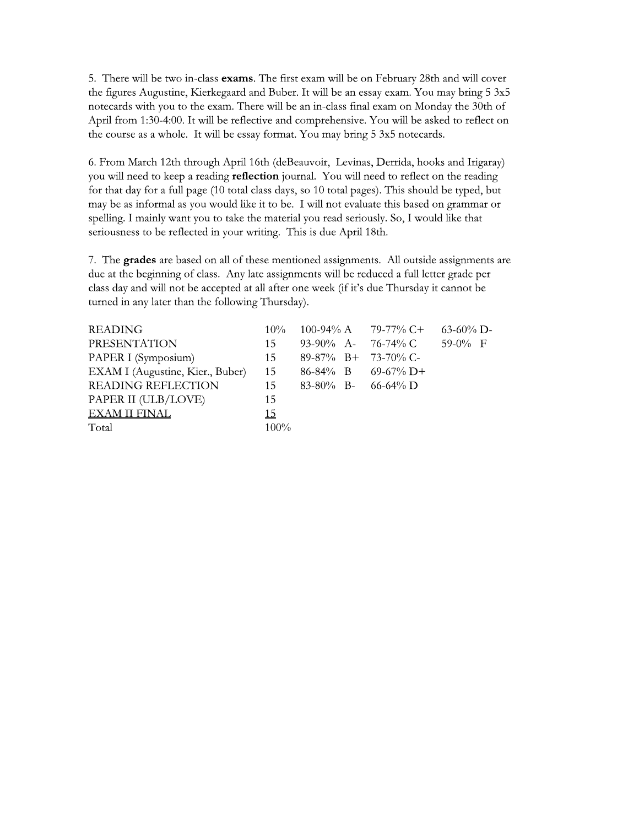5. There will be two in-class exams. The first exam will be on February 28th and will cover the figures Augustine, Kierkegaard and Buber. It will be an essay exam. You may bring 5 3x5 notecards with you to the exam. There will be an in-class final exam on Monday the 30th of April from 1:30-4:00. It will be reflective and comprehensive. You will be asked to reflect on the course as a whole. It will be essay format. You may bring 5 3x5 notecards.

6. From March 12th through April 16th (deBeauvoir, Levinas, Derrida, hooks and Irigaray) you will need to keep a reading reflection journal. You will need to reflect on the reading for that day for a full page (10 total class days, so 10 total pages). This should be typed, but may be as informal as you would like it to be. I will not evaluate this based on grammar or spelling. I mainly want you to take the material you read seriously. So, I would like that seriousness to be reflected in your writing. This is due April 18th.

7. The grades are based on all of these mentioned assignments. All outside assignments are due at the beginning of class. Any late assignments will be reduced a full letter grade per class day and will not be accepted at all after one week (if it's due Thursday it cannot be turned in any later than the following Thursday).

| <b>READING</b>                   | $10\%$    |                        | 100-94% A 79-77% C+   | $63-60\%$ D- |
|----------------------------------|-----------|------------------------|-----------------------|--------------|
| <b>PRESENTATION</b>              | 15        | 93-90% A- 76-74% C     |                       | 59-0% $F$    |
| PAPER I (Symposium)              | 15        | $89-87\%$ B+ 73-70% C- |                       |              |
| EXAM I (Augustine, Kier., Buber) | 15        |                        | $86-84\%$ B 69-67% D+ |              |
| <b>READING REFLECTION</b>        | 15        | 83-80% B- 66-64% D     |                       |              |
| PAPER II (ULB/LOVE)              | 15        |                        |                       |              |
| EXAM II FINAL                    | <u>15</u> |                        |                       |              |
| Total                            | $100\%$   |                        |                       |              |
|                                  |           |                        |                       |              |